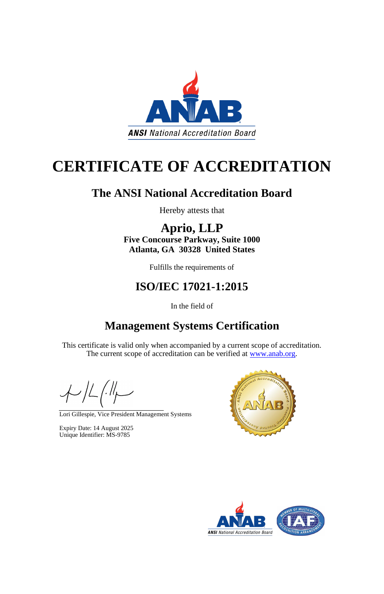

# **CERTIFICATE OF ACCREDITATION**

## **The ANSI National Accreditation Board**

Hereby attests that

**Aprio, LLP Five Concourse Parkway, Suite 1000 Atlanta, GA 30328 United States**

This certificate is valid only when accompanied by a current scope of accreditation. The current scope of accreditation can be verified at [www.anab.org.](http://www.anab.org/)

 $\neq$ 

Fulfills the requirements of

#### **ISO/IEC 17021-1:2015**

In the field of

## **Management Systems Certification**

Lori Gillespie, Vice President Management Systems

Expiry Date: 14 August 2025 Unique Identifier: MS-9785